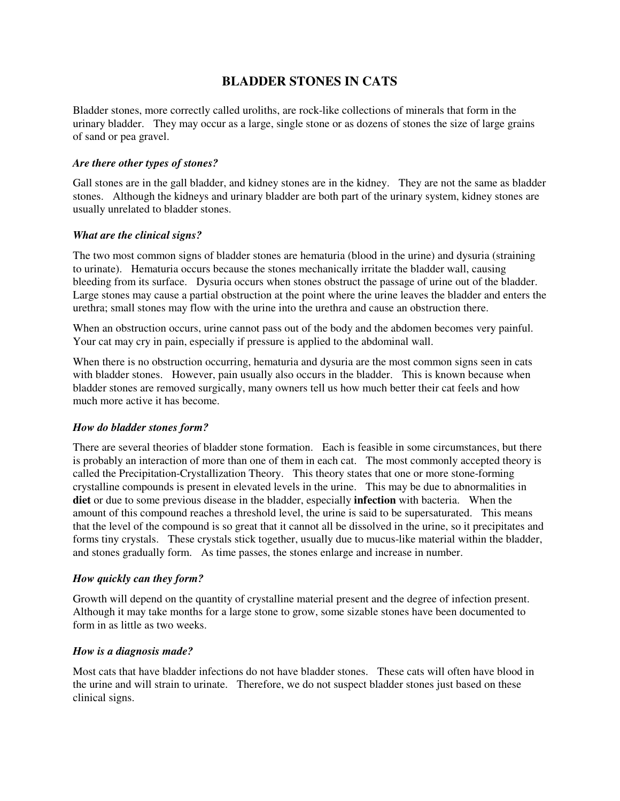# **BLADDER STONES IN CATS**

Bladder stones, more correctly called uroliths, are rock-like collections of minerals that form in the urinary bladder. They may occur as a large, single stone or as dozens of stones the size of large grains of sand or pea gravel.

#### *Are there other types of stones?*

Gall stones are in the gall bladder, and kidney stones are in the kidney. They are not the same as bladder stones. Although the kidneys and urinary bladder are both part of the urinary system, kidney stones are usually unrelated to bladder stones.

## *What are the clinical signs?*

The two most common signs of bladder stones are hematuria (blood in the urine) and dysuria (straining to urinate). Hematuria occurs because the stones mechanically irritate the bladder wall, causing bleeding from its surface. Dysuria occurs when stones obstruct the passage of urine out of the bladder. Large stones may cause a partial obstruction at the point where the urine leaves the bladder and enters the urethra; small stones may flow with the urine into the urethra and cause an obstruction there.

When an obstruction occurs, urine cannot pass out of the body and the abdomen becomes very painful. Your cat may cry in pain, especially if pressure is applied to the abdominal wall.

When there is no obstruction occurring, hematuria and dysuria are the most common signs seen in cats with bladder stones. However, pain usually also occurs in the bladder. This is known because when bladder stones are removed surgically, many owners tell us how much better their cat feels and how much more active it has become.

#### *How do bladder stones form?*

There are several theories of bladder stone formation. Each is feasible in some circumstances, but there is probably an interaction of more than one of them in each cat. The most commonly accepted theory is called the Precipitation-Crystallization Theory. This theory states that one or more stone-forming crystalline compounds is present in elevated levels in the urine. This may be due to abnormalities in **diet** or due to some previous disease in the bladder, especially **infection** with bacteria. When the amount of this compound reaches a threshold level, the urine is said to be supersaturated. This means that the level of the compound is so great that it cannot all be dissolved in the urine, so it precipitates and forms tiny crystals. These crystals stick together, usually due to mucus-like material within the bladder, and stones gradually form. As time passes, the stones enlarge and increase in number.

#### *How quickly can they form?*

Growth will depend on the quantity of crystalline material present and the degree of infection present. Although it may take months for a large stone to grow, some sizable stones have been documented to form in as little as two weeks.

#### *How is a diagnosis made?*

Most cats that have bladder infections do not have bladder stones. These cats will often have blood in the urine and will strain to urinate. Therefore, we do not suspect bladder stones just based on these clinical signs.